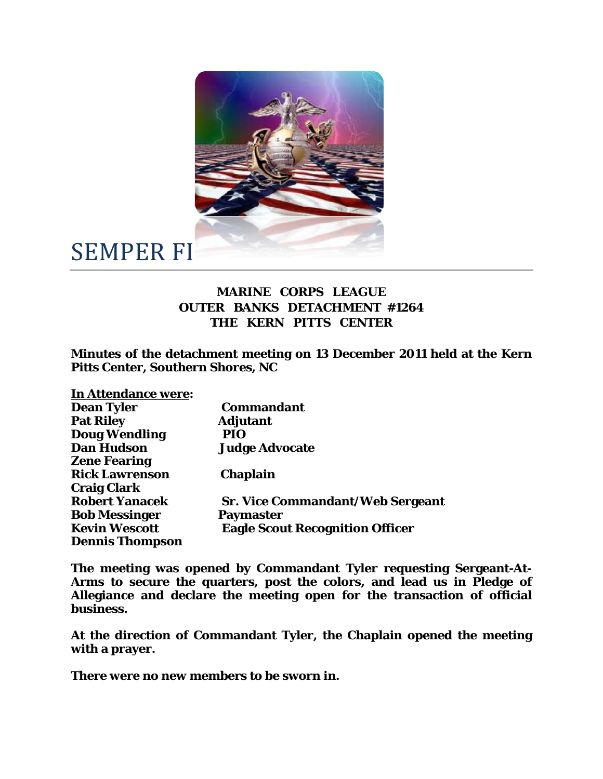

## SEMPER FI

## **MARINE CORPS LEAGUE OUTER BANKS DETACHMENT #1264 THE KERN PITTS CENTER**

**Minutes of the detachment meeting on 13 December 2011 held at the Kern Pitts Center, Southern Shores, NC** 

| <b>In Attendance were:</b> |                                         |
|----------------------------|-----------------------------------------|
| <b>Dean Tyler</b>          | <b>Commandant</b>                       |
| <b>Pat Riley</b>           | <b>Adjutant</b>                         |
| <b>Doug Wendling</b>       | PIO                                     |
| <b>Dan Hudson</b>          | <b>Judge Advocate</b>                   |
| <b>Zene Fearing</b>        |                                         |
| <b>Rick Lawrenson</b>      | <b>Chaplain</b>                         |
| <b>Craig Clark</b>         |                                         |
| <b>Robert Yanacek</b>      | <b>Sr. Vice Commandant/Web Sergeant</b> |
| <b>Bob Messinger</b>       | Paymaster                               |
| <b>Kevin Wescott</b>       | <b>Eagle Scout Recognition Officer</b>  |
| <b>Dennis Thompson</b>     |                                         |

**The meeting was opened by Commandant Tyler requesting Sergeant-At-Arms to secure the quarters, post the colors, and lead us in Pledge of Allegiance and declare the meeting open for the transaction of official business.** 

**At the direction of Commandant Tyler, the Chaplain opened the meeting with a prayer.** 

**There were no new members to be sworn in.**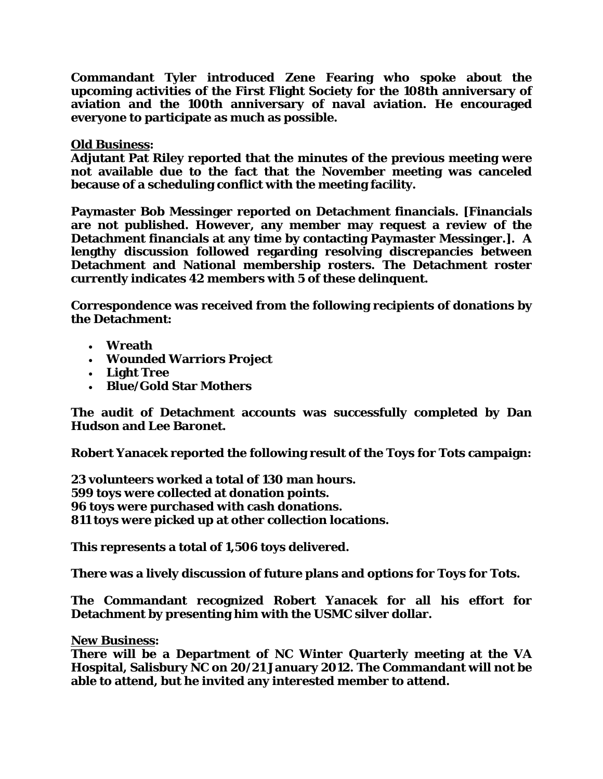**Commandant Tyler introduced Zene Fearing who spoke about the upcoming activities of the First Flight Society for the 108th anniversary of aviation and the 100th anniversary of naval aviation. He encouraged everyone to participate as much as possible.** 

## **Old Business:**

**Adjutant Pat Riley reported that the minutes of the previous meeting were not available due to the fact that the November meeting was canceled because of a scheduling conflict with the meeting facility.** 

**Paymaster Bob Messinger reported on Detachment financials. [Financials are not published. However, any member may request a review of the Detachment financials at any time by contacting Paymaster Messinger.]. A lengthy discussion followed regarding resolving discrepancies between Detachment and National membership rosters. The Detachment roster currently indicates 42 members with 5 of these delinquent.** 

**Correspondence was received from the following recipients of donations by the Detachment:** 

- **Wreath**
- **Wounded Warriors Project**
- **Light Tree**
- **Blue/Gold Star Mothers**

**The audit of Detachment accounts was successfully completed by Dan Hudson and Lee Baronet.** 

**Robert Yanacek reported the following result of the Toys for Tots campaign:** 

**23 volunteers worked a total of 130 man hours. 599 toys were collected at donation points. 96 toys were purchased with cash donations. 811 toys were picked up at other collection locations.** 

**This represents a total of 1,506 toys delivered.** 

**There was a lively discussion of future plans and options for Toys for Tots.** 

**The Commandant recognized Robert Yanacek for all his effort for Detachment by presenting him with the USMC silver dollar.** 

**New Business:** 

**There will be a Department of NC Winter Quarterly meeting at the VA Hospital, Salisbury NC on 20/21 January 2012. The Commandant will not be able to attend, but he invited any interested member to attend.**